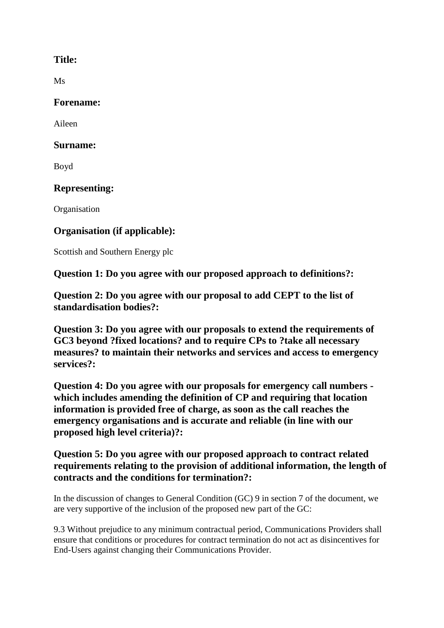## **Title:**

Ms

## **Forename:**

Aileen

## **Surname:**

Boyd

# **Representing:**

**Organisation** 

# **Organisation (if applicable):**

Scottish and Southern Energy plc

**Question 1: Do you agree with our proposed approach to definitions?:**

**Question 2: Do you agree with our proposal to add CEPT to the list of standardisation bodies?:**

**Question 3: Do you agree with our proposals to extend the requirements of GC3 beyond ?fixed locations? and to require CPs to ?take all necessary measures? to maintain their networks and services and access to emergency services?:**

**Question 4: Do you agree with our proposals for emergency call numbers which includes amending the definition of CP and requiring that location information is provided free of charge, as soon as the call reaches the emergency organisations and is accurate and reliable (in line with our proposed high level criteria)?:**

## **Question 5: Do you agree with our proposed approach to contract related requirements relating to the provision of additional information, the length of contracts and the conditions for termination?:**

In the discussion of changes to General Condition (GC) 9 in section 7 of the document, we are very supportive of the inclusion of the proposed new part of the GC:

9.3 Without prejudice to any minimum contractual period, Communications Providers shall ensure that conditions or procedures for contract termination do not act as disincentives for End-Users against changing their Communications Provider.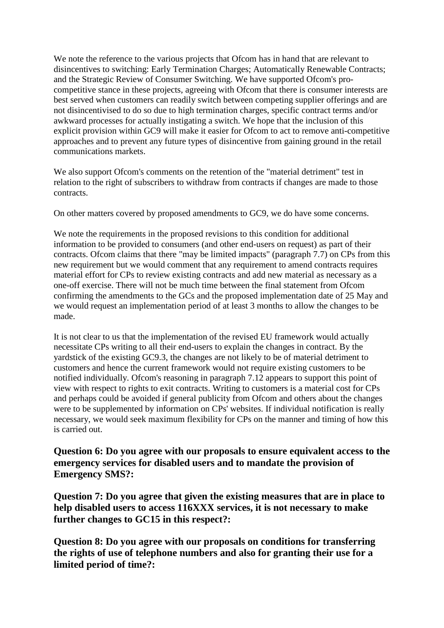We note the reference to the various projects that Ofcom has in hand that are relevant to disincentives to switching: Early Termination Charges; Automatically Renewable Contracts; and the Strategic Review of Consumer Switching. We have supported Ofcom's procompetitive stance in these projects, agreeing with Ofcom that there is consumer interests are best served when customers can readily switch between competing supplier offerings and are not disincentivised to do so due to high termination charges, specific contract terms and/or awkward processes for actually instigating a switch. We hope that the inclusion of this explicit provision within GC9 will make it easier for Ofcom to act to remove anti-competitive approaches and to prevent any future types of disincentive from gaining ground in the retail communications markets.

We also support Ofcom's comments on the retention of the "material detriment" test in relation to the right of subscribers to withdraw from contracts if changes are made to those contracts.

On other matters covered by proposed amendments to GC9, we do have some concerns.

We note the requirements in the proposed revisions to this condition for additional information to be provided to consumers (and other end-users on request) as part of their contracts. Ofcom claims that there "may be limited impacts" (paragraph 7.7) on CPs from this new requirement but we would comment that any requirement to amend contracts requires material effort for CPs to review existing contracts and add new material as necessary as a one-off exercise. There will not be much time between the final statement from Ofcom confirming the amendments to the GCs and the proposed implementation date of 25 May and we would request an implementation period of at least 3 months to allow the changes to be made.

It is not clear to us that the implementation of the revised EU framework would actually necessitate CPs writing to all their end-users to explain the changes in contract. By the yardstick of the existing GC9.3, the changes are not likely to be of material detriment to customers and hence the current framework would not require existing customers to be notified individually. Ofcom's reasoning in paragraph 7.12 appears to support this point of view with respect to rights to exit contracts. Writing to customers is a material cost for CPs and perhaps could be avoided if general publicity from Ofcom and others about the changes were to be supplemented by information on CPs' websites. If individual notification is really necessary, we would seek maximum flexibility for CPs on the manner and timing of how this is carried out.

**Question 6: Do you agree with our proposals to ensure equivalent access to the emergency services for disabled users and to mandate the provision of Emergency SMS?:**

**Question 7: Do you agree that given the existing measures that are in place to help disabled users to access 116XXX services, it is not necessary to make further changes to GC15 in this respect?:**

**Question 8: Do you agree with our proposals on conditions for transferring the rights of use of telephone numbers and also for granting their use for a limited period of time?:**